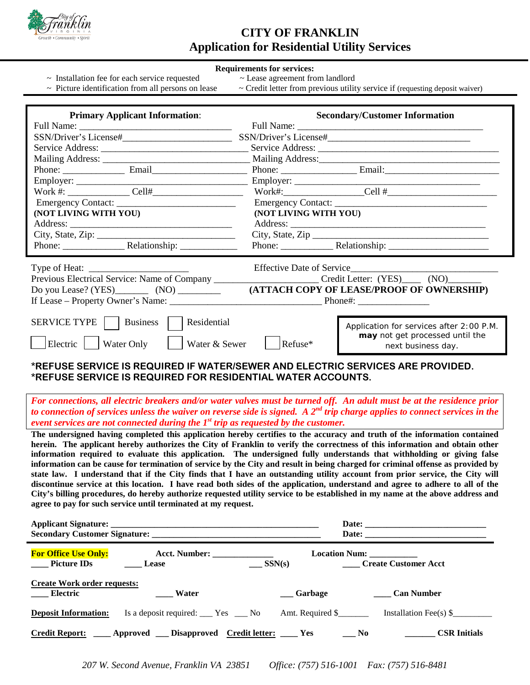

# **CITY OF FRANKLIN Application for Residential Utility Services**

#### **Requirements for services:**

- $\sim$  Installation fee for each service requested  $\sim$  Lease agreement from landlord
- 
- 
- $\sim$  Picture identification from all persons on lease  $\sim$  Credit letter from previous utility service if (requesting deposit waiver)

| <b>Primary Applicant Information:</b>                                                         |                                       | <b>Secondary/Customer Information</b>                                                             |
|-----------------------------------------------------------------------------------------------|---------------------------------------|---------------------------------------------------------------------------------------------------|
|                                                                                               |                                       |                                                                                                   |
| SSN/Driver's License#                                                                         |                                       |                                                                                                   |
|                                                                                               |                                       |                                                                                                   |
|                                                                                               |                                       |                                                                                                   |
|                                                                                               |                                       |                                                                                                   |
|                                                                                               |                                       |                                                                                                   |
|                                                                                               |                                       | Work#: $Cell #$                                                                                   |
| Emergency Contact:                                                                            |                                       |                                                                                                   |
| (NOT LIVING WITH YOU)                                                                         | (NOT LIVING WITH YOU)                 |                                                                                                   |
|                                                                                               |                                       |                                                                                                   |
|                                                                                               |                                       | City, State, Zip                                                                                  |
|                                                                                               |                                       |                                                                                                   |
|                                                                                               |                                       |                                                                                                   |
| Previous Electrical Service: Name of Company                                                  |                                       | Credit Letter: (YES) (NO)                                                                         |
|                                                                                               |                                       | (ATTACH COPY OF LEASE/PROOF OF OWNERSHIP)                                                         |
|                                                                                               | $\blacksquare$ Phone#: $\blacksquare$ |                                                                                                   |
|                                                                                               |                                       |                                                                                                   |
| SERVICE TYPE    <br>Residential<br><b>Business</b><br>Water & Sewer<br>Electric<br>Water Only | Refuse*                               | Application for services after 2:00 P.M.<br>may not get processed until the<br>next business day. |

## **\*REFUSE SERVICE IS REQUIRED IF WATER/SEWER AND ELECTRIC SERVICES ARE PROVIDED. \*REFUSE SERVICE IS REQUIRED FOR RESIDENTIAL WATER ACCOUNTS.**

*For connections, all electric breakers and/or water valves must be turned off. An adult must be at the residence prior to connection of services unless the waiver on reverse side is signed. A 2nd trip charge applies to connect services in the event services are not connected during the 1st trip as requested by the customer.*

**The undersigned having completed this application hereby certifies to the accuracy and truth of the information contained herein. The applicant hereby authorizes the City of Franklin to verify the correctness of this information and obtain other information required to evaluate this application. The undersigned fully understands that withholding or giving false information can be cause for termination of service by the City and result in being charged for criminal offense as provided by state law. I understand that if the City finds that I have an outstanding utility account from prior service, the City will discontinue service at this location. I have read both sides of the application, understand and agree to adhere to all of the City's billing procedures, do hereby authorize requested utility service to be established in my name at the above address and agree to pay for such service until terminated at my request.**

|                                                       | Secondary Customer Signature: New York Secondary Customer Signature:        |                           |                                                          |  |
|-------------------------------------------------------|-----------------------------------------------------------------------------|---------------------------|----------------------------------------------------------|--|
| <b>For Office Use Only:</b><br>_____ Picture IDs      | Acct. Number: _______________<br><b>Lease</b>                               | $\frac{\text{SSN(s)}}{n}$ | Location Num: ___________<br><b>Create Customer Acct</b> |  |
| <b>Create Work order requests:</b><br><b>Electric</b> | <b>Water</b>                                                                | ___ Garbage               | <b>Can Number</b>                                        |  |
| <b>Deposit Information:</b>                           | Is a deposit required: _____ Yes _____ No                                   | Amt. Required \$          | Installation Fee(s) $\$                                  |  |
|                                                       | <u>Credit Report:</u> ____ Approved ___ Disapproved Credit letter: ____ Yes |                           | <b>CSR Initials</b><br>$N_{0}$                           |  |

*207 W. Second Avenue, Franklin VA 23851 Office: (757) 516-1001 Fax: (757) 516-8481*